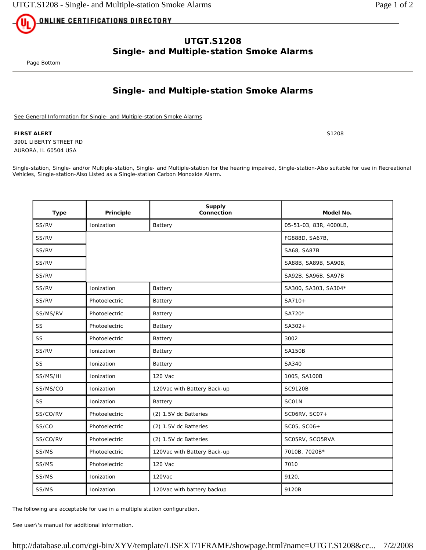<u>ONLINE CERTIFICATIONS DIRECTORY</u>

## **UTGT.S1208 Single- and Multiple-station Smoke Alarms**

Page Bottom

## **Single- and Multiple-station Smoke Alarms**

See General Information for Single- and Multiple-station Smoke Alarms

**FIRST ALERT** S1208 3901 LIBERTY STREET RD AURORA, IL 60504 USA

Single-station, Single- and/or Multiple-station, Single- and Multiple-station for the hearing impaired, Single-station-Also suitable for use in Recreational Vehicles, Single-station-Also Listed as a Single-station Carbon Monoxide Alarm.

| <b>Type</b> | Principle     | <b>Supply</b><br>Connection | Model No.              |
|-------------|---------------|-----------------------------|------------------------|
| SS/RV       | Ionization    | Battery                     | 05-51-03, 83R, 4000LB, |
| SS/RV       |               |                             | FG888D, SA67B,         |
| SS/RV       |               |                             | SA68, SA87B            |
| SS/RV       |               |                             | SA88B, SA89B, SA90B,   |
| SS/RV       |               |                             | SA92B, SA96B, SA97B    |
| SS/RV       | Ionization    | Battery                     | SA300, SA303, SA304*   |
| SS/RV       | Photoelectric | Battery                     | SA710+                 |
| SS/MS/RV    | Photoelectric | Battery                     | SA720*                 |
| SS          | Photoelectric | Battery                     | $SA302+$               |
| SS          | Photoelectric | Battery                     | 3002                   |
| SS/RV       | Ionization    | Battery                     | <b>SA150B</b>          |
| SS          | Ionization    | Battery                     | SA340                  |
| SS/MS/HI    | Ionization    | 120 Vac                     | 100S, SA100B           |
| SS/MS/CO    | Ionization    | 120Vac with Battery Back-up | SC9120B                |
| SS          | Ionization    | Battery                     | SCO1N                  |
| SS/CO/RV    | Photoelectric | (2) 1.5V dc Batteries       | SC06RV, SC07+          |
| SS/CO       | Photoelectric | (2) 1.5V dc Batteries       | SC05, SC06+            |
| SS/CO/RV    | Photoelectric | (2) 1.5V dc Batteries       | SC05RV, SCO5RVA        |
| SS/MS       | Photoelectric | 120Vac with Battery Back-up | 7010B, 7020B*          |
| SS/MS       | Photoelectric | 120 Vac                     | 7010                   |
| SS/MS       | Ionization    | 120Vac                      | 9120,                  |
| SS/MS       | Ionization    | 120Vac with battery backup  | 9120B                  |

The following are acceptable for use in a multiple station configuration.

See user\'s manual for additional information.